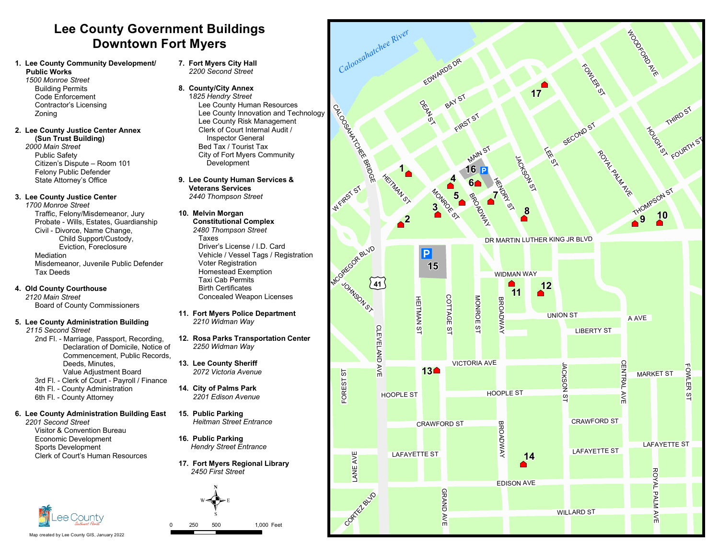# **Lee County Government Buildings Downtown Fort Myers**

## **1. Lee County Community Development/ Public Works**

*1500 Monroe Street* **Building Permits** Code Enforcement Contractor's Licensing Zoning

#### **2. Lee County Justice Center Annex (Sun Trust Building)** *2000 Main Street*

**Public Safety** Citizen's Dispute – Room 101 Felony Public Defender State Attorney's Office

## **3. Lee County Justice Center**

*1700 Monroe Street* Traffic, Felony/Misdemeanor, Jury Probate - Wills, Estates, Guardianship Civil - Divorce, Name Change, Child Support/Custody, Eviction, Foreclosure Mediation Misdemeanor, Juvenile Public Defender **Tax Deeds** 

## **4. Old County Courthouse**

*2120 Main Street* Board of County Commissioners

## **5. Lee County Administration Building**

- *2115 Second Street*
	- 2nd Fl. Marriage, Passport, Recording, Declaration of Domicile, Notice of Commencement, Public Records, Deeds, Minutes Value Adjustment Board 3rd Fl. - Clerk of Court - Payroll / Finance 4th Fl. - County Administration
	- 6th Fl.-CountyAttorney

#### **6. Lee County Administration Building East** *2201 Second Street*

Visitor&Convention Bureau Economic Development Sports Development Clerk of Court's Human Resources



### **8. County/City Annex** 1*825 Hendry Street* Lee County Human Resources Lee County Innovation and Technology Lee County Risk Management Clerk of Court Internal Audit / **Inspector General** Bed Tax / Tourist Tax City of Fort Myers Community Development

**9. Lee County Human Services & Veterans Services** *2440 Thompson Street*

## **10. Melvin Morgan**

- **Constitutional Complex** *2480 Thompson Street* **Taxes** Driver's License / I.D. Card Vehicle / Vessel Tags / Registration Voter Registration Homestead Exemption **Taxi Cab Permits** Birth Certificates Concealed Weapon Licenses
- **11. Fort Myers Police Department** *2210 Widman Way*
- **12. Rosa Parks Transportation Center** *2250 Widman Way*
- **13. Lee County Sheriff** *2072 Victoria Avenue*
- **14. City of Palms Park** *2201 Edison Avenue*
- **15. Public Parking** *Heitman Street Entrance*
- **16. Public Parking** *Hendry Street Entrance*
- **17. Fort Myers Regional Library** *2450 First Street*





Map created by Lee County GIS, January 2022

250 500 1,000Feet